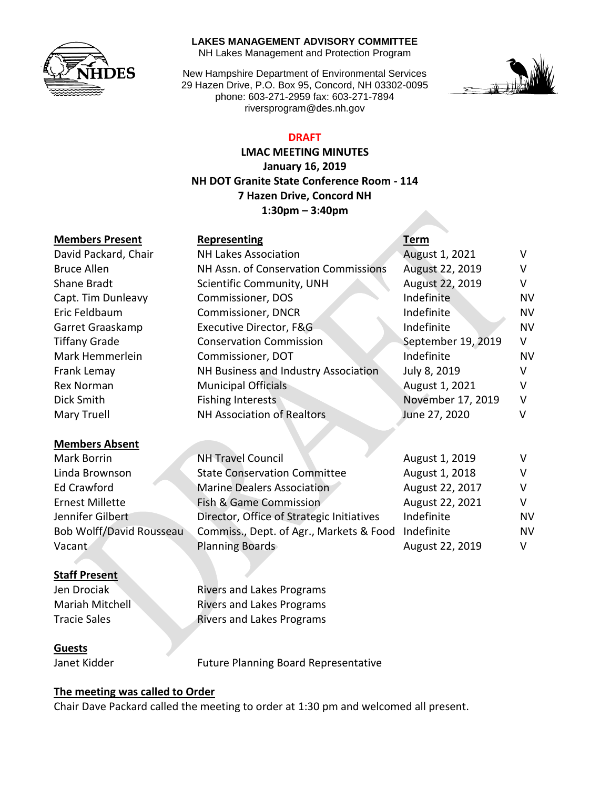

#### **LAKES MANAGEMENT ADVISORY COMMITTEE**

NH Lakes Management and Protection Program

New Hampshire Department of Environmental Services 29 Hazen Drive, P.O. Box 95, Concord, NH 03302-0095 phone: 603-271-2959 fax: 603-271-7894 riversprogram@des.nh.gov



### **DRAFT**

**LMAC MEETING MINUTES January 16, 2019 NH DOT Granite State Conference Room - 114 7 Hazen Drive, Concord NH 1:30pm – 3:40pm**

#### **Members Present Representing Term**

|                        | מייוניינייניינ                            | .                  |           |
|------------------------|-------------------------------------------|--------------------|-----------|
| David Packard, Chair   | <b>NH Lakes Association</b>               | August 1, 2021     | V         |
| <b>Bruce Allen</b>     | NH Assn. of Conservation Commissions      | August 22, 2019    | V         |
| Shane Bradt            | Scientific Community, UNH                 | August 22, 2019    | V         |
| Capt. Tim Dunleavy     | Commissioner, DOS                         | Indefinite         | NV        |
| Eric Feldbaum          | Commissioner, DNCR                        | Indefinite         | <b>NV</b> |
| Garret Graaskamp       | Executive Director, F&G                   | Indefinite         | <b>NV</b> |
| <b>Tiffany Grade</b>   | <b>Conservation Commission</b>            | September 19, 2019 | V         |
| Mark Hemmerlein        | Commissioner, DOT                         | Indefinite         | NV        |
| Frank Lemay            | NH Business and Industry Association      | July 8, 2019       | V         |
| <b>Rex Norman</b>      | <b>Municipal Officials</b>                | August 1, 2021     | V         |
| Dick Smith             | <b>Fishing Interests</b>                  | November 17, 2019  | v         |
| Mary Truell            | <b>NH Association of Realtors</b>         | June 27, 2020      | v         |
|                        |                                           |                    |           |
| <b>Members Absent</b>  |                                           |                    |           |
| Mark Borrin            | <b>NH Travel Council</b>                  | August 1, 2019     | V         |
| Linda Brownson         | <b>State Conservation Committee</b>       | August 1, 2018     | v         |
| <b>Ed Crawford</b>     | <b>Marine Dealers Association</b>         | August 22, 2017    | v         |
| <b>Ernest Millette</b> | Fish & Game Commission                    | August 22, 2021    | v         |
| Jennifer Gilbert       | Director, Office of Strategic Initiatives | Indefinite         | N٧        |

Bob Wolff/David Rousseau Commiss., Dept. of Agr., Markets & Food Indefinite NV Vacant **Planning Boards** August 22, 2019 V

#### **Staff Present**

**Jen Drociak Rivers and Lakes Programs** Mariah Mitchell Rivers and Lakes Programs Tracie Sales **Rivers and Lakes Programs** 

#### **Guests**

Janet Kidder Future Planning Board Representative

#### **The meeting was called to Order**

Chair Dave Packard called the meeting to order at 1:30 pm and welcomed all present.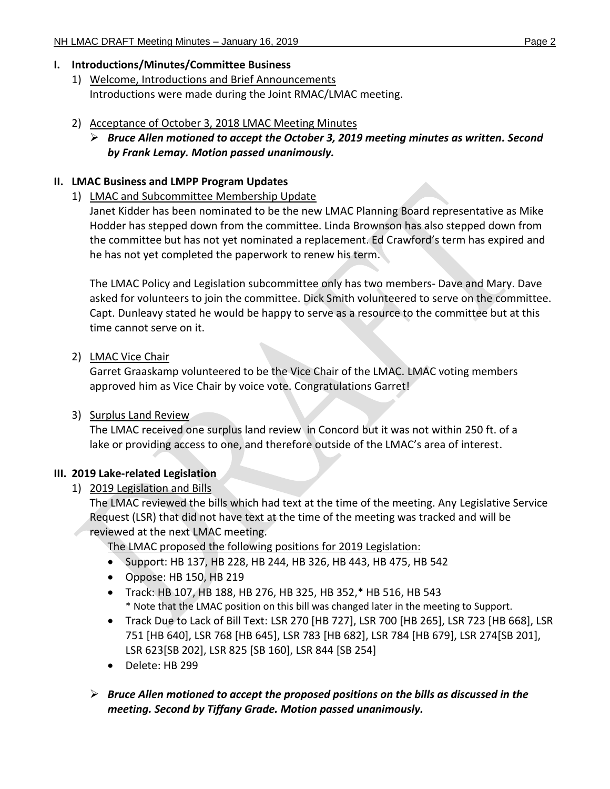## **I. Introductions/Minutes/Committee Business**

- 1) Welcome, Introductions and Brief Announcements Introductions were made during the Joint RMAC/LMAC meeting.
- 2) Acceptance of October 3, 2018 LMAC Meeting Minutes
	- *Bruce Allen motioned to accept the October 3, 2019 meeting minutes as written. Second by Frank Lemay. Motion passed unanimously.*

## **II. LMAC Business and LMPP Program Updates**

1) LMAC and Subcommittee Membership Update

Janet Kidder has been nominated to be the new LMAC Planning Board representative as Mike Hodder has stepped down from the committee. Linda Brownson has also stepped down from the committee but has not yet nominated a replacement. Ed Crawford's term has expired and he has not yet completed the paperwork to renew his term.

The LMAC Policy and Legislation subcommittee only has two members- Dave and Mary. Dave asked for volunteers to join the committee. Dick Smith volunteered to serve on the committee. Capt. Dunleavy stated he would be happy to serve as a resource to the committee but at this time cannot serve on it.

2) LMAC Vice Chair

Garret Graaskamp volunteered to be the Vice Chair of the LMAC. LMAC voting members approved him as Vice Chair by voice vote. Congratulations Garret!

3) Surplus Land Review

The LMAC received one surplus land review in Concord but it was not within 250 ft. of a lake or providing access to one, and therefore outside of the LMAC's area of interest.

# **III. 2019 Lake-related Legislation**

1) 2019 Legislation and Bills

The LMAC reviewed the bills which had text at the time of the meeting. Any Legislative Service Request (LSR) that did not have text at the time of the meeting was tracked and will be reviewed at the next LMAC meeting.

The LMAC proposed the following positions for 2019 Legislation:

- Support: HB 137, HB 228, HB 244, HB 326, HB 443, HB 475, HB 542
- Oppose: HB 150, HB 219
- Track: HB 107, HB 188, HB 276, HB 325, HB 352,\* HB 516, HB 543 \* Note that the LMAC position on this bill was changed later in the meeting to Support.
- Track Due to Lack of Bill Text: LSR 270 [HB 727], LSR 700 [HB 265], LSR 723 [HB 668], LSR 751 [HB 640], LSR 768 [HB 645], LSR 783 [HB 682], LSR 784 [HB 679], LSR 274[SB 201], LSR 623[SB 202], LSR 825 [SB 160], LSR 844 [SB 254]
- Delete: HB 299
- *Bruce Allen motioned to accept the proposed positions on the bills as discussed in the meeting. Second by Tiffany Grade. Motion passed unanimously.*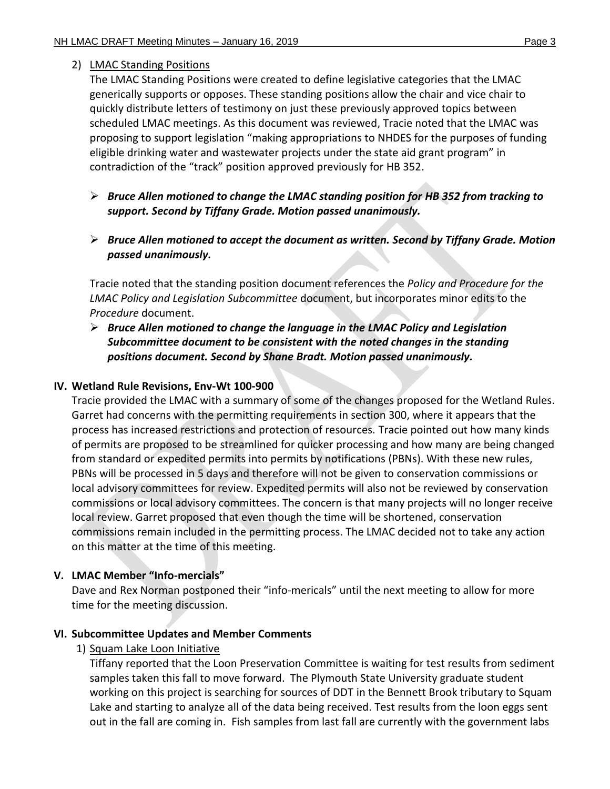### 2) LMAC Standing Positions

The LMAC Standing Positions were created to define legislative categories that the LMAC generically supports or opposes. These standing positions allow the chair and vice chair to quickly distribute letters of testimony on just these previously approved topics between scheduled LMAC meetings. As this document was reviewed, Tracie noted that the LMAC was proposing to support legislation "making appropriations to NHDES for the purposes of funding eligible drinking water and wastewater projects under the state aid grant program" in contradiction of the "track" position approved previously for HB 352.

- *Bruce Allen motioned to change the LMAC standing position for HB 352 from tracking to support. Second by Tiffany Grade. Motion passed unanimously.*
- *Bruce Allen motioned to accept the document as written. Second by Tiffany Grade. Motion passed unanimously.*

Tracie noted that the standing position document references the *Policy and Procedure for the LMAC Policy and Legislation Subcommittee* document, but incorporates minor edits to the *Procedure* document.

 *Bruce Allen motioned to change the language in the LMAC Policy and Legislation Subcommittee document to be consistent with the noted changes in the standing positions document. Second by Shane Bradt. Motion passed unanimously.*

#### **IV. Wetland Rule Revisions, Env-Wt 100-900**

Tracie provided the LMAC with a summary of some of the changes proposed for the Wetland Rules. Garret had concerns with the permitting requirements in section 300, where it appears that the process has increased restrictions and protection of resources. Tracie pointed out how many kinds of permits are proposed to be streamlined for quicker processing and how many are being changed from standard or expedited permits into permits by notifications (PBNs). With these new rules, PBNs will be processed in 5 days and therefore will not be given to conservation commissions or local advisory committees for review. Expedited permits will also not be reviewed by conservation commissions or local advisory committees. The concern is that many projects will no longer receive local review. Garret proposed that even though the time will be shortened, conservation commissions remain included in the permitting process. The LMAC decided not to take any action on this matter at the time of this meeting.

## **V. LMAC Member "Info-mercials"**

Dave and Rex Norman postponed their "info-mericals" until the next meeting to allow for more time for the meeting discussion.

## **VI. Subcommittee Updates and Member Comments**

1) Squam Lake Loon Initiative

Tiffany reported that the Loon Preservation Committee is waiting for test results from sediment samples taken this fall to move forward. The Plymouth State University graduate student working on this project is searching for sources of DDT in the Bennett Brook tributary to Squam Lake and starting to analyze all of the data being received. Test results from the loon eggs sent out in the fall are coming in. Fish samples from last fall are currently with the government labs